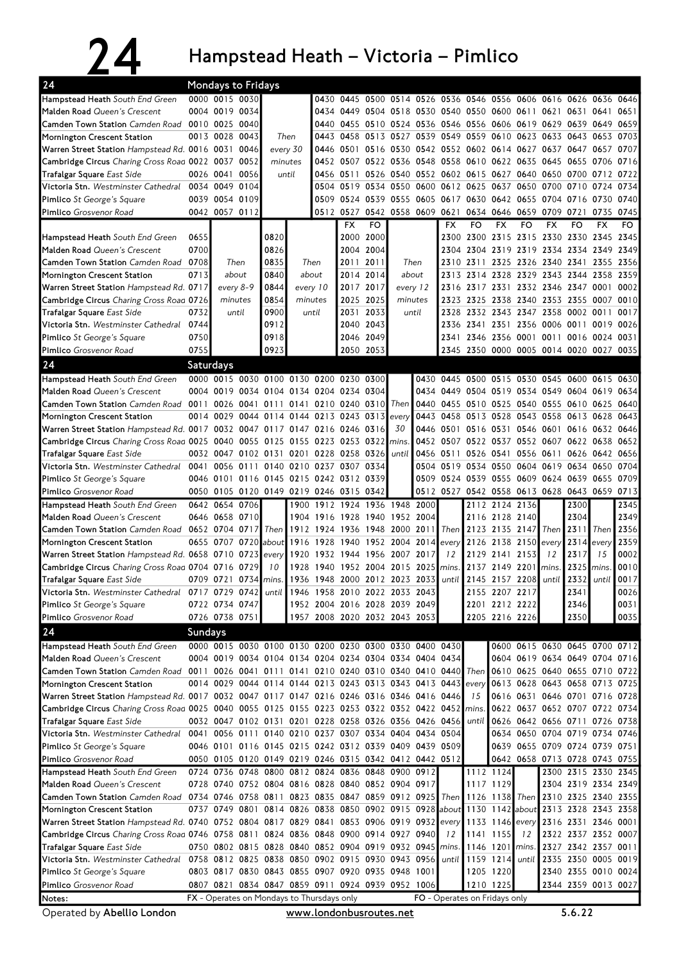24 Hampstead Heath – Victoria – Pimlico

| 24                                                                                                                        | <b>Mondays to Fridays</b><br>0430 0445 0500 0514 0526 0536 0546 0556 0606 0616 0626                           |                |           |                  |      |                                                              |                     |           |                                              |                |              |           |                          |    |                                                                                             |                     |           |      |
|---------------------------------------------------------------------------------------------------------------------------|---------------------------------------------------------------------------------------------------------------|----------------|-----------|------------------|------|--------------------------------------------------------------|---------------------|-----------|----------------------------------------------|----------------|--------------|-----------|--------------------------|----|---------------------------------------------------------------------------------------------|---------------------|-----------|------|
| Hampstead Heath South End Green                                                                                           |                                                                                                               | 0000 0015 0030 |           |                  |      |                                                              |                     |           |                                              |                |              |           |                          |    |                                                                                             |                     | 0636 0646 |      |
| Malden Road Queen's Crescent                                                                                              |                                                                                                               | 0004 0019 0034 |           |                  |      |                                                              |                     |           | 0434 0449 0504 0518 0530 0540 0550 0600 0611 |                |              |           |                          |    | 0621 0631                                                                                   |                     | 0641      | 0651 |
| Camden Town Station Camden Road 0010 0025 0040                                                                            |                                                                                                               |                |           |                  |      |                                                              |                     |           |                                              |                |              |           |                          |    | 0440 0455 0510 0524 0536 0546 0556 0606 0619 0629 0639 0649 0659                            |                     |           |      |
| Mornington Crescent Station                                                                                               |                                                                                                               | 0013 0028 0043 |           | Then             |      | 0443                                                         | 0458 0513 0527      |           |                                              |                |              |           | 0539 0549 0559 0610 0623 |    | 0633 0643 0653                                                                              |                     |           | 0703 |
| Warren Street Station Hampstead Rd. 0016 0031 0046                                                                        |                                                                                                               |                |           | every 30         |      |                                                              |                     |           |                                              |                |              |           |                          |    | 0446 0501 0516 0530 0542 0552 0602 0614 0627 0637 0647 0657 0707                            |                     |           |      |
| Cambridge Circus Charing Cross Road 0022 0037 0052                                                                        |                                                                                                               |                |           | minutes          |      |                                                              | 0452 0507 0522 0536 |           |                                              | 0548 0558 0610 |              |           | 0622 0635                |    | 0645 0655 0706 0716                                                                         |                     |           |      |
| Trafalgar Square East Side                                                                                                | 0026 0041                                                                                                     |                | 0056      | until            |      |                                                              |                     |           | 0456 0511 0526 0540 0552 0602 0615           |                |              |           |                          |    | 0627 0640 0650 0700 0712 0722                                                               |                     |           |      |
| Victoria Stn. Westminster Cathedral 0034 0049 0104                                                                        |                                                                                                               |                |           |                  |      |                                                              |                     |           | 0504 0519 0534 0550 0600                     |                |              | 0612 0625 | 0637 0650                |    | 0700 0710                                                                                   |                     | 0724      | 0734 |
| <b>Pimlico</b> St George's Square                                                                                         |                                                                                                               | 0039 0054 0109 |           |                  |      |                                                              | 0509 0524 0539 0555 |           |                                              | 0605 0617 0630 |              |           | 0642 0655                |    | 0704 0716                                                                                   |                     | 0730      | 0740 |
| Pimlico Grosvenor Road                                                                                                    |                                                                                                               | 0042 0057 0112 |           |                  |      |                                                              |                     |           |                                              |                |              |           |                          |    | 0512 0527 0542 0558 0609 0621 0634 0646 0659 0709 0721                                      |                     | 0735      | 0745 |
|                                                                                                                           |                                                                                                               |                |           |                  |      |                                                              | <b>FX</b>           | FO        |                                              |                | <b>FX</b>    | FO        | <b>FX</b>                | FO | <b>FX</b>                                                                                   | FO                  | <b>FX</b> | FO.  |
| <b>Hampstead Heath</b> South End Green                                                                                    | 0655                                                                                                          |                |           | 0820             |      |                                                              |                     | 2000 2000 |                                              |                |              |           |                          |    | 2300 2300 2315 2315 2330 2330 2345                                                          |                     |           | 2345 |
| Malden Road Queen's Crescent                                                                                              | 0700                                                                                                          |                |           | 0826             |      |                                                              |                     | 2004 2004 |                                              |                |              |           |                          |    | 2304 2304 2319 2319 2334 2334 2349 2349                                                     |                     |           |      |
| <b>Camden Town Station</b> Camden Road                                                                                    | 0708                                                                                                          | Then           |           | 0835             |      | Then                                                         | 2011                | 2011      | Then                                         |                | 2310         | 2311      |                          |    | 2325 2326 2340 2341 2355 2356                                                               |                     |           |      |
| Mornington Crescent Station                                                                                               | 0713                                                                                                          | about          |           | 0840<br>about    |      |                                                              |                     | 2014 2014 |                                              | about          |              | 2314      |                          |    | 2328 2329 2343 2344 2358                                                                    |                     |           | 2359 |
| Warren Street Station Hampstead Rd. 0717                                                                                  |                                                                                                               |                | every 8-9 | 0844<br>every 10 |      |                                                              | 2017                | 2017      | every 12                                     |                | 2313<br>2316 | 2317      | 2331                     |    | 2332 2346 2347 0001                                                                         |                     |           | 0002 |
| Cambridge Circus Charing Cross Road 0726                                                                                  |                                                                                                               | minutes        |           | 0854<br>minutes  |      |                                                              | 2025 2025           |           | minutes                                      |                | 2323         | 2325      |                          |    | 2338 2340 2353 2355 0007 0010                                                               |                     |           |      |
| Trafalgar Square East Side                                                                                                | 0732                                                                                                          | until          |           | 0900             |      | until                                                        | 2031                | 2033      | until                                        |                |              |           |                          |    | 2328 2332 2343 2347 2358 0002 0011                                                          |                     |           | 0017 |
| Victoria Stn. Westminster Cathedral                                                                                       | 0744                                                                                                          |                |           | 0912             |      |                                                              |                     | 2040 2043 |                                              |                |              |           |                          |    | 2336 2341 2351 2356 0006 0011 0019                                                          |                     |           | 0026 |
| Pimlico St George's Square                                                                                                | 0750                                                                                                          |                |           | 0918             |      |                                                              | 2046 2049           |           |                                              |                | 2341         | 2346      |                          |    | 2356 0001 0011 0016                                                                         |                     | 0024 0031 |      |
| Pimlico Grosvenor Road                                                                                                    | 0755                                                                                                          |                |           | 0923             |      |                                                              |                     | 2050 2053 |                                              |                |              |           |                          |    | 2345 2350 0000 0005 0014 0020 0027 0035                                                     |                     |           |      |
|                                                                                                                           |                                                                                                               |                |           |                  |      |                                                              |                     |           |                                              |                |              |           |                          |    |                                                                                             |                     |           |      |
| 24                                                                                                                        | Saturdays                                                                                                     |                |           |                  |      |                                                              |                     |           |                                              |                |              |           |                          |    |                                                                                             |                     |           |      |
| Hampstead Heath South End Green                                                                                           |                                                                                                               |                |           |                  |      | 0000 0015 0030 0100 0130 0200 0230 0300                      |                     |           |                                              |                |              |           |                          |    | 0430 0445 0500 0515 0530 0545 0600 0615 0630                                                |                     |           |      |
| Malden Road Queen's Crescent                                                                                              |                                                                                                               | 0004 0019      |           |                  |      | 0034 0104 0134 0204 0234 0304                                |                     |           |                                              |                |              |           |                          |    | 0434 0449 0504 0519 0534 0549 0604                                                          |                     | 0619      | 0634 |
| Camden Town Station Camden Road 0011 0026 0041 0111 0141 0210 0240 0310                                                   |                                                                                                               |                |           |                  |      |                                                              |                     |           | Then                                         | 0440           |              | 0455 0510 |                          |    | 0525 0540 0555 0610 0625 0640                                                               |                     |           |      |
| Mornington Crescent Station                                                                                               |                                                                                                               |                |           |                  |      | 0014 0029 0044 0114 0144 0213 0243 0313                      |                     |           | every                                        | 0443           |              |           |                          |    | 0458 0513 0528 0543 0558 0613 0628                                                          |                     |           | 0643 |
| Warren Street Station Hampstead Rd. 0017 0032 0047 0117 0147 0216 0246 0316                                               |                                                                                                               |                |           |                  |      |                                                              |                     |           | 30                                           |                |              |           |                          |    | 0446 0501 0516 0531 0546 0601 0616 0632 0646                                                |                     |           |      |
| Cambridge Circus Charing Cross Road 0025 0040 0055 0125                                                                   |                                                                                                               |                |           |                  |      | 0155 0223 0253 0322                                          |                     |           | mins                                         | 0452           |              |           |                          |    | 0507 0522 0537 0552 0607 0622 0638 0652                                                     |                     |           |      |
| <b>Trafalgar Square East Side</b>                                                                                         |                                                                                                               |                |           |                  |      | 0032 0047 0102 0131 0201 0228 0258 0326                      |                     |           | until                                        |                | 0456 0511    |           |                          |    | 0526 0541 0556 0611 0626 0642 0656                                                          |                     |           |      |
| Victoria Stn. Westminster Cathedral 0041                                                                                  |                                                                                                               |                |           |                  |      | 0056 0111 0140 0210 0237 0307 0334                           |                     |           |                                              |                |              |           |                          |    | 0504 0519 0534 0550 0604 0619 0634 0650                                                     |                     |           | 0704 |
| <b>Pimlico</b> St George's Square                                                                                         |                                                                                                               |                |           |                  |      | 0046 0101 0116 0145 0215 0242 0312 0339                      |                     |           |                                              |                |              |           |                          |    | 0509 0524 0539 0555 0609 0624 0639                                                          |                     | 0655      | 0709 |
| Pimlico Grosvenor Road                                                                                                    |                                                                                                               |                |           |                  |      | 0050 0105 0120 0149 0219 0246 0315 0342                      |                     |           |                                              |                |              |           |                          |    | 0512 0527 0542 0558 0613 0628 0643 0659                                                     |                     |           | 0713 |
| Hampstead Heath South End Green                                                                                           |                                                                                                               | 0642 0654 0706 |           |                  |      | 1900 1912 1924 1936 1948                                     |                     |           |                                              | 2000           |              |           | 2112 2124 2136           |    |                                                                                             | 2300                |           | 2345 |
| Malden Road Queen's Crescent                                                                                              |                                                                                                               | 0646 0658 0710 |           |                  |      | 1904 1916 1928 1940 1952 2004                                |                     |           |                                              |                |              |           | 2116 2128 2140           |    |                                                                                             | 2304                |           | 2349 |
| Camden Town Station Camden Road 0652 0704 0717                                                                            |                                                                                                               |                |           | Then             |      | 1912 1924 1936 1948 2000 2011                                |                     |           |                                              |                | Then         |           | 2123 2135 2147           |    | Then                                                                                        | 2311                | Then      | 2356 |
| Mornington Crescent Station                                                                                               |                                                                                                               | 0655 0707 0720 |           | about            |      | 1916 1928 1940                                               |                     | 1952 2004 |                                              | 2014           | every        | 2126      | 2138 2150                |    | every                                                                                       | 2314                | every     | 2359 |
| Warren Street Station Hampstead Rd. 0658 0710 0723                                                                        |                                                                                                               |                |           | every            | 1920 |                                                              |                     |           | 1932 1944 1956 2007 2017                     |                | 12           | 2129      | 2141 2153                |    | 12                                                                                          | 2317                | 15        | 0002 |
| Cambridge Circus Charing Cross Road 0704 0716 0729                                                                        |                                                                                                               |                |           | 10               | 1928 | 1940                                                         |                     |           | 1952 2004 2015 2025                          |                | mins.        | 2137      | 2149 2201                |    | mins.                                                                                       | 2325                | mins      | 0010 |
| <b>Trafalgar Square East Side</b>                                                                                         |                                                                                                               | 0709 0721 0734 |           | lmins.           |      | 1936 1948 2000 2012 2023 2033                                |                     |           |                                              |                | until        |           | 2145 2157 2208           |    | until                                                                                       | 2332                | until     | 0017 |
| Victoria Stn. Westminster Cathedral 0717 0729 0742 until 1946 1958 2010 2022 2033 2043                                    |                                                                                                               |                |           |                  |      |                                                              |                     |           |                                              |                |              |           | 2155 2207 2217           |    |                                                                                             | 2341                |           | 0026 |
| <b>Pimlico</b> St George's Square                                                                                         |                                                                                                               | 0722 0734 0747 |           |                  |      | 1952 2004 2016 2028 2039 2049                                |                     |           |                                              |                |              |           | 2201 2212 2222           |    |                                                                                             | 2346                |           | 0031 |
| Pimlico Grosvenor Road                                                                                                    |                                                                                                               | 0726 0738 0751 |           |                  |      | 1957 2008 2020 2032 2043 2053                                |                     |           |                                              |                |              |           | 2205 2216 2226           |    |                                                                                             | 2350                |           | 0035 |
| 24                                                                                                                        | Sundays                                                                                                       |                |           |                  |      |                                                              |                     |           |                                              |                |              |           |                          |    |                                                                                             |                     |           |      |
| Hampstead Heath South End Green                                                                                           |                                                                                                               |                |           |                  |      | 0000 0015 0030 0100 0130 0200 0230 0300 0330 0400 0430       |                     |           |                                              |                |              |           |                          |    | 0600 0615 0630 0645 0700 0712                                                               |                     |           |      |
| Malden Road Queen's Crescent                                                                                              |                                                                                                               |                |           |                  |      | 0004 0019 0034 0104 0134 0204 0234 0304 0334 0404 0434       |                     |           |                                              |                |              |           |                          |    | 0604 0619 0634 0649 0704 0716                                                               |                     |           |      |
| Camden Town Station Camden Road 0011 0026 0041 0111 0141 0210 0240 0310 0340 0410 0440 Then 0610 0625 0640 0655 0710 0722 |                                                                                                               |                |           |                  |      |                                                              |                     |           |                                              |                |              |           |                          |    |                                                                                             |                     |           |      |
| Mornington Crescent Station                                                                                               |                                                                                                               |                |           |                  |      | 0014 0029 0044 0114 0144 0213 0243 0313 0343 0413 0443       |                     |           |                                              |                |              | every     |                          |    | 0613 0628 0643 0658 0713 0725                                                               |                     |           |      |
| Warren Street Station Hampstead Rd. 0017 0032 0047 0117 0147 0216 0246 0316 0346 0416 0446                                |                                                                                                               |                |           |                  |      |                                                              |                     |           |                                              |                |              | 15        |                          |    | 0616 0631 0646 0701 0716 0728                                                               |                     |           |      |
| Cambridge Circus Charing Cross Road 0025 0040 0055 0125 0155 0223 0253 0322 0352 0422 0452 mins.                          |                                                                                                               |                |           |                  |      |                                                              |                     |           |                                              |                |              |           |                          |    | 0622 0637 0652 0707 0722 0734                                                               |                     |           |      |
| <b>Trafalgar Square East Side</b>                                                                                         |                                                                                                               |                |           |                  |      | 0032 0047 0102 0131 0201 0228 0258 0326 0356 0426 0456 until |                     |           |                                              |                |              |           |                          |    | 0626 0642 0656 0711 0726 0738                                                               |                     |           |      |
| Victoria Stn. Westminster Cathedral 0041 0056 0111 0140 0210 0237 0307 0334 0404 0434 0504                                |                                                                                                               |                |           |                  |      |                                                              |                     |           |                                              |                |              |           |                          |    | 0634 0650 0704 0719 0734 0746                                                               |                     |           |      |
| <b>Pimlico</b> St George's Square                                                                                         |                                                                                                               |                |           |                  |      | 0046 0101 0116 0145 0215 0242 0312 0339 0409 0439 0509       |                     |           |                                              |                |              |           |                          |    | 0639 0655 0709 0724 0739 0751                                                               |                     |           |      |
| Pimlico Grosvenor Road                                                                                                    |                                                                                                               |                |           |                  |      | 0050 0105 0120 0149 0219 0246 0315 0342 0412 0442 0512       |                     |           |                                              |                |              |           |                          |    | 0642 0658 0713 0728 0743 0755                                                               |                     |           |      |
| Hampstead Heath South End Green                                                                                           |                                                                                                               |                |           |                  |      | 0724 0736 0748 0800 0812 0824 0836 0848 0900 0912            |                     |           |                                              |                |              |           | 1112 1124                |    |                                                                                             | 2300 2315 2330 2345 |           |      |
| Malden Road Queen's Crescent                                                                                              |                                                                                                               |                |           |                  |      | 0728 0740 0752 0804 0816 0828 0840 0852 0904 0917            |                     |           |                                              |                |              |           | 1117 1129                |    |                                                                                             | 2304 2319 2334 2349 |           |      |
| Camden Town Station Camden Road 0734 0746 0758 0811 0823 0835 0847 0859 0912 0925 Then                                    |                                                                                                               |                |           |                  |      |                                                              |                     |           |                                              |                |              |           |                          |    | 1126 1138 Then 2310 2325 2340 2355                                                          |                     |           |      |
| Mornington Crescent Station                                                                                               |                                                                                                               |                |           |                  |      |                                                              |                     |           |                                              |                |              |           |                          |    | 0737 0749 0801 0814 0826 0838 0850 0902 0915 0928 about 1130 1142 about 2313 2328 2343 2358 |                     |           |      |
| Warren Street Station Hampstead Rd. 0740 0752 0804 0817 0829 0841 0853 0906 0919 0932 every                               |                                                                                                               |                |           |                  |      |                                                              |                     |           |                                              |                |              |           |                          |    | 1133 1146 every 2316 2331 2346 0001                                                         |                     |           |      |
| Cambridge Circus Charing Cross Road 0746 0758 0811 0824 0836 0848 0900 0914 0927 0940                                     |                                                                                                               |                |           |                  |      |                                                              |                     |           |                                              |                | 12           |           | 1141 1155                | 12 |                                                                                             | 2322 2337 2352 0007 |           |      |
| Trafalgar Square East Side                                                                                                |                                                                                                               |                |           |                  |      | 0750 0802 0815 0828 0840 0852 0904 0919 0932 0945 mins.      |                     |           |                                              |                |              |           | 1146 1201 mins.          |    |                                                                                             | 2327 2342 2357 0011 |           |      |
| Victoria Stn. Westminster Cathedral 0758 0812 0825 0838 0850 0902 0915 0930 0943 0956                                     |                                                                                                               |                |           |                  |      |                                                              |                     |           |                                              |                | until        |           | 1159 1214                |    | until 2335 2350 0005 0019                                                                   |                     |           |      |
| <b>Pimlico</b> St George's Square                                                                                         |                                                                                                               |                |           |                  |      | 0803 0817 0830 0843 0855 0907 0920 0935 0948 1001            |                     |           |                                              |                |              |           | 1205 1220                |    |                                                                                             | 2340 2355 0010 0024 |           |      |
| Pimlico Grosvenor Road                                                                                                    |                                                                                                               |                |           |                  |      | 0807 0821 0834 0847 0859 0911 0924 0939 0952 1006            |                     |           |                                              |                |              |           | 1210 1225                |    |                                                                                             | 2344 2359 0013 0027 |           |      |
| Notes:                                                                                                                    |                                                                                                               |                |           |                  |      |                                                              |                     |           |                                              |                |              |           |                          |    |                                                                                             |                     |           |      |
|                                                                                                                           | <b>FX</b> - Operates on Mondays to Thursdays only<br>FO - Operates on Fridays only<br>www.londonbusroutes.net |                |           |                  |      |                                                              |                     |           |                                              |                |              |           | 5.6.22                   |    |                                                                                             |                     |           |      |
| Operated by Abellio London                                                                                                |                                                                                                               |                |           |                  |      |                                                              |                     |           |                                              |                |              |           |                          |    |                                                                                             |                     |           |      |